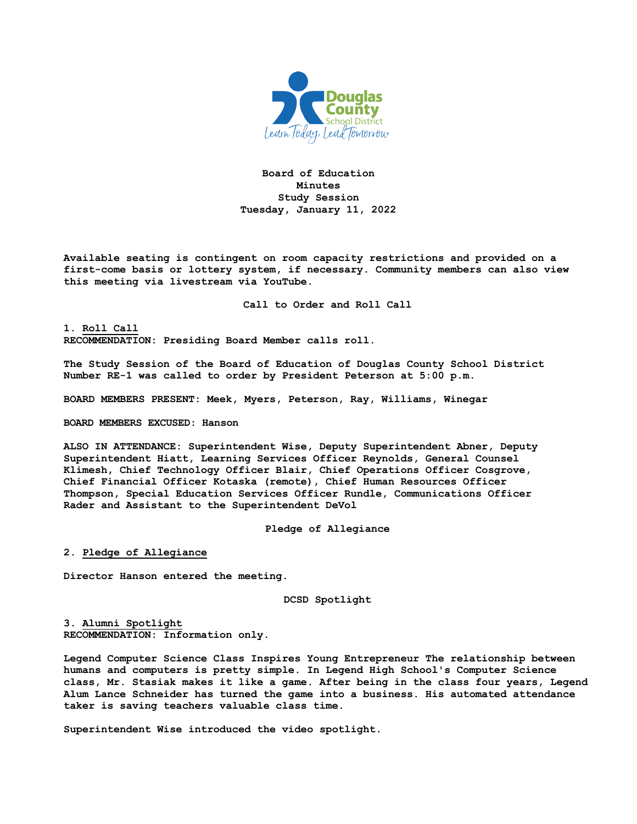

**Board of Education Minutes Study Session Tuesday, January 11, 2022**

**Available seating is contingent on room capacity restrictions and provided on a first-come basis or lottery system, if necessary. Community members can also view this meeting via livestream via YouTube.**

**Call to Order and Roll Call**

**1. Roll Call RECOMMENDATION: Presiding Board Member calls roll.** 

**The Study Session of the Board of Education of Douglas County School District Number RE-1 was called to order by President Peterson at 5:00 p.m.**

**BOARD MEMBERS PRESENT: Meek, Myers, Peterson, Ray, Williams, Winegar**

**BOARD MEMBERS EXCUSED: Hanson**

**ALSO IN ATTENDANCE: Superintendent Wise, Deputy Superintendent Abner, Deputy Superintendent Hiatt, Learning Services Officer Reynolds, General Counsel Klimesh, Chief Technology Officer Blair, Chief Operations Officer Cosgrove, Chief Financial Officer Kotaska (remote), Chief Human Resources Officer Thompson, Special Education Services Officer Rundle, Communications Officer Rader and Assistant to the Superintendent DeVol**

**Pledge of Allegiance**

**2. Pledge of Allegiance**

**Director Hanson entered the meeting.**

**DCSD Spotlight**

**3. Alumni Spotlight RECOMMENDATION: Information only.** 

**Legend Computer Science Class Inspires Young Entrepreneur The relationship between humans and computers is pretty simple. In Legend High School's Computer Science class, Mr. Stasiak makes it like a game. After being in the class four years, Legend Alum Lance Schneider has turned the game into a business. His automated attendance taker is saving teachers valuable class time.** 

**Superintendent Wise introduced the video spotlight.**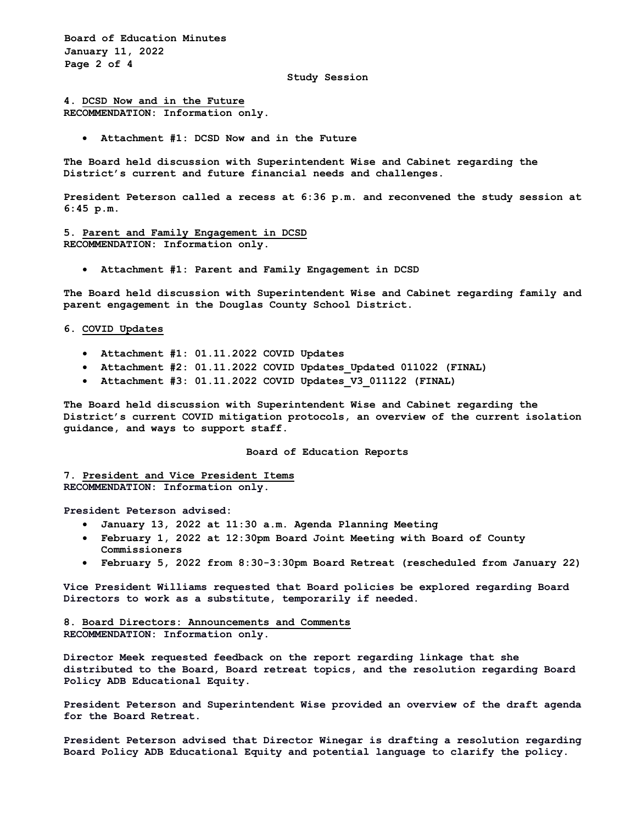**Board of Education Minutes January 11, 2022 Page 2 of 4**

**Study Session**

**4. DCSD Now and in the Future RECOMMENDATION: Information only.**

• **Attachment #1: DCSD Now and in the Future**

**The Board held discussion with Superintendent Wise and Cabinet regarding the District's current and future financial needs and challenges.**

**President Peterson called a recess at 6:36 p.m. and reconvened the study session at 6:45 p.m.**

**5. Parent and Family Engagement in DCSD RECOMMENDATION: Information only.**

• **Attachment #1: Parent and Family Engagement in DCSD**

**The Board held discussion with Superintendent Wise and Cabinet regarding family and parent engagement in the Douglas County School District.**

### **6. COVID Updates**

- **Attachment #1: 01.11.2022 COVID Updates**
- **Attachment #2: 01.11.2022 COVID Updates\_Updated 011022 (FINAL)**
- **Attachment #3: 01.11.2022 COVID Updates\_V3\_011122 (FINAL)**

**The Board held discussion with Superintendent Wise and Cabinet regarding the District's current COVID mitigation protocols, an overview of the current isolation guidance, and ways to support staff.**

**Board of Education Reports**

**7. President and Vice President Items RECOMMENDATION: Information only.**

**President Peterson advised:** 

- **January 13, 2022 at 11:30 a.m. Agenda Planning Meeting**
- **February 1, 2022 at 12:30pm Board Joint Meeting with Board of County Commissioners**
- **February 5, 2022 from 8:30-3:30pm Board Retreat (rescheduled from January 22)**

**Vice President Williams requested that Board policies be explored regarding Board Directors to work as a substitute, temporarily if needed.**

**8. Board Directors: Announcements and Comments RECOMMENDATION: Information only.**

**Director Meek requested feedback on the report regarding linkage that she distributed to the Board, Board retreat topics, and the resolution regarding Board Policy ADB Educational Equity.**

**President Peterson and Superintendent Wise provided an overview of the draft agenda for the Board Retreat.**

**President Peterson advised that Director Winegar is drafting a resolution regarding Board Policy ADB Educational Equity and potential language to clarify the policy.**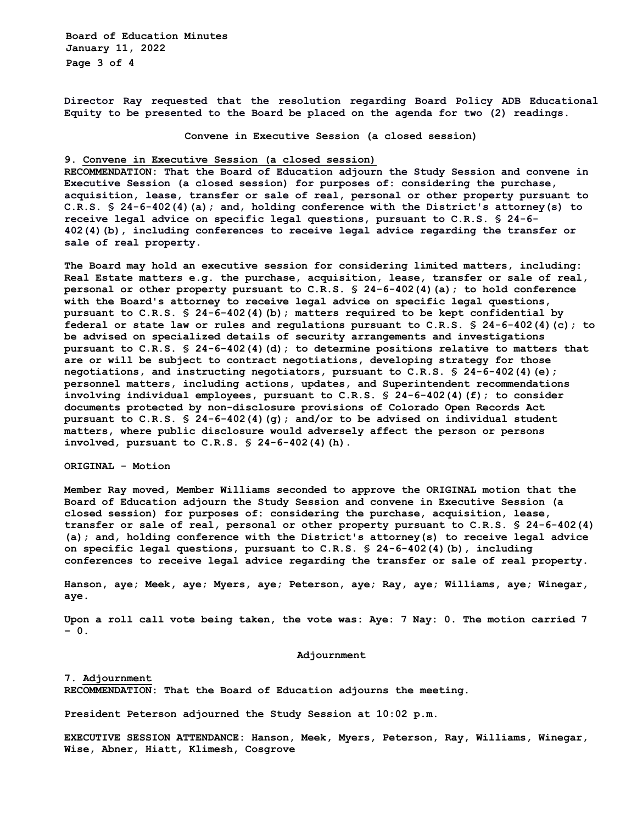**Board of Education Minutes January 11, 2022 Page 3 of 4** 

**Director Ray requested that the resolution regarding Board Policy ADB Educational Equity to be presented to the Board be placed on the agenda for two (2) readings.** 

**Convene in Executive Session (a closed session)** 

## **9. Convene in Executive Session (a closed session)**

**RECOMMENDATION: That the Board of Education adjourn the Study Session and convene in Executive Session (a closed session) for purposes of: considering the purchase, acquisition, lease, transfer or sale of real, personal or other property pursuant to C.R.S. § 24-6-402(4)(a); and, holding conference with the District's attorney(s) to receive legal advice on specific legal questions, pursuant to C.R.S. § 24-6- 402(4)(b), including conferences to receive legal advice regarding the transfer or sale of real property.**

**The Board may hold an executive session for considering limited matters, including: Real Estate matters e.g. the purchase, acquisition, lease, transfer or sale of real, personal or other property pursuant to C.R.S. § 24-6-402(4)(a); to hold conference with the Board's attorney to receive legal advice on specific legal questions, pursuant to C.R.S. § 24-6-402(4)(b); matters required to be kept confidential by federal or state law or rules and regulations pursuant to C.R.S. § 24-6-402(4)(c); to be advised on specialized details of security arrangements and investigations pursuant to C.R.S. § 24-6-402(4)(d); to determine positions relative to matters that are or will be subject to contract negotiations, developing strategy for those negotiations, and instructing negotiators, pursuant to C.R.S. § 24-6-402(4)(e); personnel matters, including actions, updates, and Superintendent recommendations involving individual employees, pursuant to C.R.S. § 24-6-402(4)(f); to consider documents protected by non-disclosure provisions of Colorado Open Records Act pursuant to C.R.S. § 24-6-402(4)(g); and/or to be advised on individual student matters, where public disclosure would adversely affect the person or persons involved, pursuant to C.R.S. § 24-6-402(4)(h).** 

#### **ORIGINAL - Motion**

**Member Ray moved, Member Williams seconded to approve the ORIGINAL motion that the Board of Education adjourn the Study Session and convene in Executive Session (a closed session) for purposes of: considering the purchase, acquisition, lease, transfer or sale of real, personal or other property pursuant to C.R.S. § 24-6-402(4) (a); and, holding conference with the District's attorney(s) to receive legal advice on specific legal questions, pursuant to C.R.S. § 24-6-402(4)(b), including conferences to receive legal advice regarding the transfer or sale of real property.** 

**Hanson, aye; Meek, aye; Myers, aye; Peterson, aye; Ray, aye; Williams, aye; Winegar, aye.** 

**Upon a roll call vote being taken, the vote was: Aye: 7 Nay: 0. The motion carried 7 – 0.** 

#### **Adjournment**

# **7. Adjournment**

**RECOMMENDATION: That the Board of Education adjourns the meeting.**

**President Peterson adjourned the Study Session at 10:02 p.m.** 

**EXECUTIVE SESSION ATTENDANCE: Hanson, Meek, Myers, Peterson, Ray, Williams, Winegar, Wise, Abner, Hiatt, Klimesh, Cosgrove**